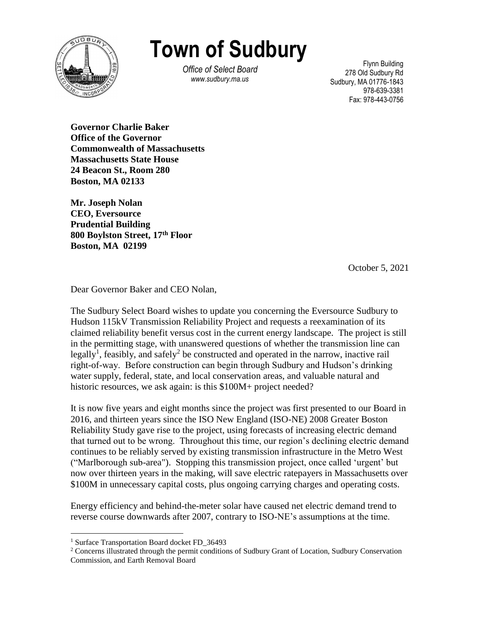

**Town of Sudbury**

*Office of Select Board www.sudbury.ma.us*

Flynn Building 278 Old Sudbury Rd Sudbury, MA 01776-1843 978-639-3381 Fax: 978-443-0756

**Governor Charlie Baker Office of the Governor Commonwealth of Massachusetts Massachusetts State House 24 Beacon St., Room 280 Boston, MA 02133**

**Mr. Joseph Nolan CEO, Eversource Prudential Building 800 Boylston Street, 17th Floor Boston, MA 02199**

October 5, 2021

Dear Governor Baker and CEO Nolan,

The Sudbury Select Board wishes to update you concerning the Eversource Sudbury to Hudson 115kV Transmission Reliability Project and requests a reexamination of its claimed reliability benefit versus cost in the current energy landscape. The project is still in the permitting stage, with unanswered questions of whether the transmission line can legally<sup>1</sup>, feasibly, and safely<sup>2</sup> be constructed and operated in the narrow, inactive rail right-of-way. Before construction can begin through Sudbury and Hudson's drinking water supply, federal, state, and local conservation areas, and valuable natural and historic resources, we ask again: is this \$100M+ project needed?

It is now five years and eight months since the project was first presented to our Board in 2016, and thirteen years since the ISO New England (ISO-NE) 2008 Greater Boston Reliability Study gave rise to the project, using forecasts of increasing electric demand that turned out to be wrong. Throughout this time, our region's declining electric demand continues to be reliably served by existing transmission infrastructure in the Metro West ("Marlborough sub-area"). Stopping this transmission project, once called 'urgent' but now over thirteen years in the making, will save electric ratepayers in Massachusetts over \$100M in unnecessary capital costs, plus ongoing carrying charges and operating costs.

Energy efficiency and behind-the-meter solar have caused net electric demand trend to reverse course downwards after 2007, contrary to ISO-NE's assumptions at the time.

 $\overline{a}$ 

<sup>1</sup> Surface Transportation Board docket FD\_36493

<sup>&</sup>lt;sup>2</sup> Concerns illustrated through the permit conditions of Sudbury Grant of Location, Sudbury Conservation Commission, and Earth Removal Board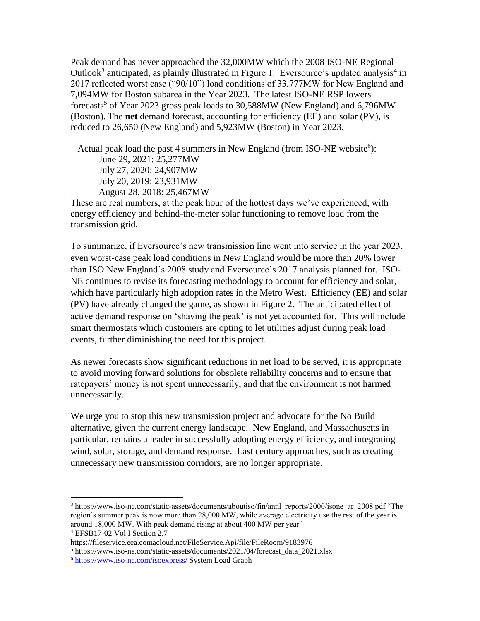(Boston). The **net** demand forecast, accounting for efficiency (EE) and solar (PV), is Peak demand has never approached the 32,000MW which the 2008 ISO-NE Regional Outlook<sup>3</sup> anticipated, as plainly illustrated in Figure 1. Eversource's updated analysis<sup>4</sup> in 2017 reflected worst case ("90/10") load conditions of 33,777MW for New England and 7,094MW for Boston subarea in the Year 2023. The latest ISO-NE RSP lowers forecasts<sup>5</sup> of Year 2023 gross peak loads to 30,588MW (New England) and 6,796MW reduced to 26,650 (New England) and 5,923MW (Boston) in Year 2023.

Actual peak load the past 4 summers in New England (from ISO-NE website<sup>6</sup>): June 29, 2021: 25,277MW July 27, 2020: 24,907MW July 20, 2019: 23,931MW August 28, 2018: 25,467MW

These are real numbers, at the peak hour of the hottest days we've experienced, with energy efficiency and behind-the-meter solar functioning to remove load from the transmission grid.

To summarize, if Eversource's new transmission line went into service in the year 2023, even worst-case peak load conditions in New England would be more than 20% lower than ISO New England's 2008 study and Eversource's 2017 analysis planned for. ISO-NE continues to revise its forecasting methodology to account for efficiency and solar, which have particularly high adoption rates in the Metro West. Efficiency (EE) and solar (PV) have already changed the game, as shown in Figure 2. The anticipated effect of active demand response on 'shaving the peak' is not yet accounted for. This will include smart thermostats which customers are opting to let utilities adjust during peak load events, further diminishing the need for this project.

As newer forecasts show significant reductions in net load to be served, it is appropriate to avoid moving forward solutions for obsolete reliability concerns and to ensure that ratepayers' money is not spent unnecessarily, and that the environment is not harmed unnecessarily.

We urge you to stop this new transmission project and advocate for the No Build alternative, given the current energy landscape. New England, and Massachusetts in particular, remains a leader in successfully adopting energy efficiency, and integrating wind, solar, storage, and demand response. Last century approaches, such as creating unnecessary new transmission corridors, are no longer appropriate.

 $\overline{a}$ 

 $3$  https://www.iso-ne.com/static-assets/documents/aboutiso/fin/annl\_reports/2000/isone\_ar\_2008.pdf "The region's summer peak is now more than 28,000 MW, while average electricity use the rest of the year is around 18,000 MW. With peak demand rising at about 400 MW per year"

<sup>4</sup> EFSB17-02 Vol I Section 2.7

https://fileservice.eea.comacloud.net/FileService.Api/file/FileRoom/9183976

<sup>5</sup> https://www.iso-ne.com/static-assets/documents/2021/04/forecast\_data\_2021.xlsx

<sup>6</sup> <https://www.iso-ne.com/isoexpress/> System Load Graph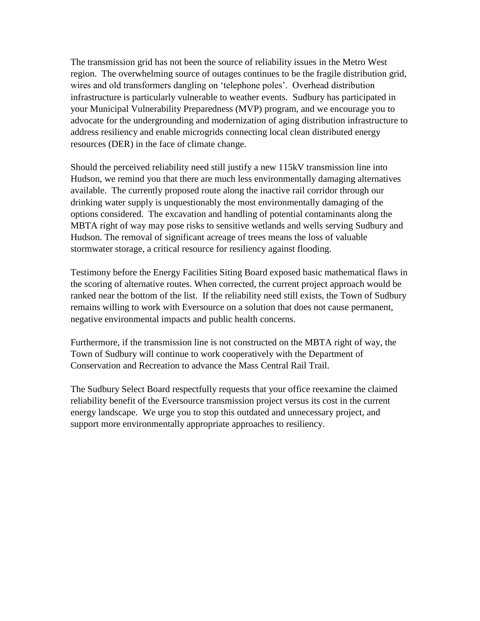your Municipal Vulnerability Preparedness (MVP) program, and we encourage you to The transmission grid has not been the source of reliability issues in the Metro West region. The overwhelming source of outages continues to be the fragile distribution grid, wires and old transformers dangling on 'telephone poles'. Overhead distribution infrastructure is particularly vulnerable to weather events. Sudbury has participated in advocate for the undergrounding and modernization of aging distribution infrastructure to address resiliency and enable microgrids connecting local clean distributed energy resources (DER) in the face of climate change.

Should the perceived reliability need still justify a new 115kV transmission line into Hudson, we remind you that there are much less environmentally damaging alternatives available. The currently proposed route along the inactive rail corridor through our drinking water supply is unquestionably the most environmentally damaging of the options considered. The excavation and handling of potential contaminants along the MBTA right of way may pose risks to sensitive wetlands and wells serving Sudbury and Hudson. The removal of significant acreage of trees means the loss of valuable stormwater storage, a critical resource for resiliency against flooding.

Testimony before the Energy Facilities Siting Board exposed basic mathematical flaws in the scoring of alternative routes. When corrected, the current project approach would be ranked near the bottom of the list. If the reliability need still exists, the Town of Sudbury remains willing to work with Eversource on a solution that does not cause permanent, negative environmental impacts and public health concerns.

Furthermore, if the transmission line is not constructed on the MBTA right of way, the Town of Sudbury will continue to work cooperatively with the Department of Conservation and Recreation to advance the Mass Central Rail Trail.

The Sudbury Select Board respectfully requests that your office reexamine the claimed reliability benefit of the Eversource transmission project versus its cost in the current energy landscape. We urge you to stop this outdated and unnecessary project, and support more environmentally appropriate approaches to resiliency.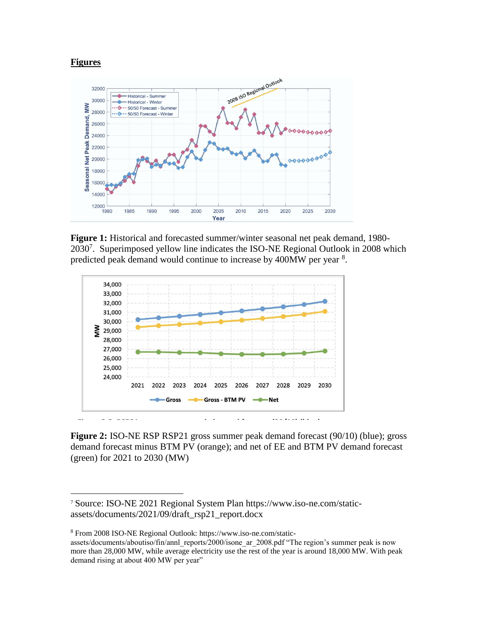## **Figures**

 $\overline{a}$ 



**Figure 1:** Historical and forecasted summer/winter seasonal net peak demand, 1980- 2030<sup>7</sup>. Superimposed yellow line indicates the ISO-NE Regional Outlook in 2008 which predicted peak demand would continue to increase by 400MW per year <sup>8</sup>.



**Figure 2:** ISO-NE RSP RSP21 gross summer peak demand forecast (90/10) (blue); gross demand forecast minus BTM PV (orange); and net of EE and BTM PV demand forecast (green) for 2021 to 2030 (MW)

<sup>7</sup> Source: ISO-NE 2021 Regional System Plan https://www.iso-ne.com/staticassets/documents/2021/09/draft\_rsp21\_report.docx

<sup>8</sup> From 2008 ISO-NE Regional Outlook: https://www.iso-ne.com/static-

assets/documents/aboutiso/fin/annl\_reports/2000/isone\_ar\_2008.pdf "The region's summer peak is now more than 28,000 MW, while average electricity use the rest of the year is around 18,000 MW. With peak demand rising at about 400 MW per year"